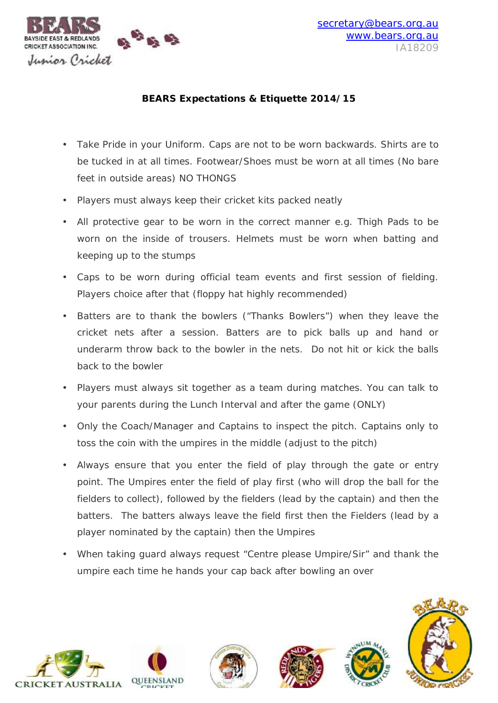

## **BEARS Expectations & Etiquette 2014/15**

- Take Pride in your Uniform. Caps are not to be worn backwards. Shirts are to be tucked in at all times. Footwear/Shoes must be worn at all times (No bare feet in outside areas) NO THONGS
- Players must always keep their cricket kits packed neatly
- All protective gear to be worn in the correct manner e.g. Thigh Pads to be worn on the inside of trousers. Helmets must be worn when batting and keeping up to the stumps
- Caps to be worn during official team events and first session of fielding. Players choice after that (floppy hat highly recommended)
- Batters are to thank the bowlers ("Thanks Bowlers") when they leave the cricket nets after a session. Batters are to pick balls up and hand or underarm throw back to the bowler in the nets. Do not hit or kick the balls back to the bowler
- Players must always sit together as a team during matches. You can talk to your parents during the Lunch Interval and after the game (ONLY)
- Only the Coach/Manager and Captains to inspect the pitch. Captains only to toss the coin with the umpires in the middle (adjust to the pitch)
- Always ensure that you enter the field of play through the gate or entry point. The Umpires enter the field of play first (who will drop the ball for the fielders to collect), followed by the fielders (lead by the captain) and then the batters. The batters always leave the field first then the Fielders (lead by a player nominated by the captain) then the Umpires
- When taking guard always request "Centre please Umpire/Sir" and thank the umpire each time he hands your cap back after bowling an over